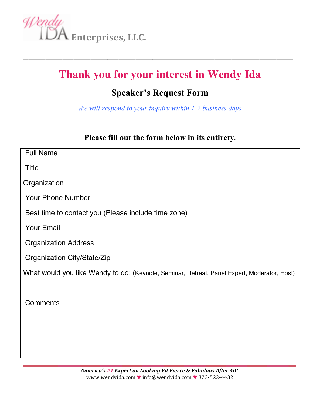

## **Thank you for your interest in Wendy Ida**

**\_\_\_\_\_\_\_\_\_\_\_\_\_\_\_\_\_\_\_\_\_\_\_\_\_\_\_\_\_\_\_\_\_\_\_\_\_\_\_\_\_\_\_\_\_\_\_\_**

## **Speaker's Request Form**

*We will respond to your inquiry within 1-2 business days*

#### **Please fill out the form below in its entirety.**

| <b>Full Name</b>                                                                            |
|---------------------------------------------------------------------------------------------|
| <b>Title</b>                                                                                |
| Organization                                                                                |
| <b>Your Phone Number</b>                                                                    |
| Best time to contact you (Please include time zone)                                         |
| <b>Your Email</b>                                                                           |
| <b>Organization Address</b>                                                                 |
| Organization City/State/Zip                                                                 |
| What would you like Wendy to do: (Keynote, Seminar, Retreat, Panel Expert, Moderator, Host) |
|                                                                                             |
| Comments                                                                                    |
|                                                                                             |
|                                                                                             |
|                                                                                             |